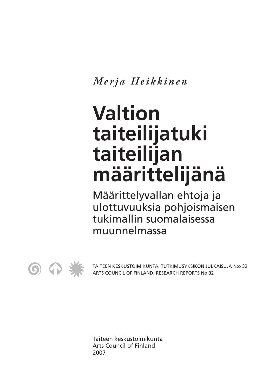*Merja Heikkinen*

## **Valtion taiteilijatuki taiteilijan määrittelijänä**

Määrittelyvallan ehtoja ja ulottuvuuksia pohjoismaisen tukimallin suomalaisessa muunnelmassa



TAITEEN KESKUSTOIMIKUNTA. TUTKIMUSYKSIKÖN JULKAISUJA N:o 32 ARTS COUNCIL OF FINLAND. RESEARCH REPORTS No 32

Taiteen keskustoimikunta Arts Council of Finland 2007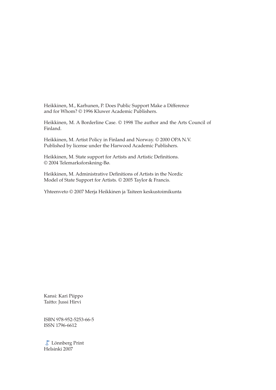Heikkinen, M., Karhunen, P. Does Public Support Make a Difference and for Whom? © 1996 Kluwer Academic Publishers.

Heikkinen, M. A Borderline Case. © 1998 The author and the Arts Council of Finland.

Heikkinen, M. Artist Policy in Finland and Norway. © 2000 OPA N.V. Published by license under the Harwood Academic Publishers.

Heikkinen, M. State support for Artists and Artistic Definitions. © 2004 Telemarksforskning-Bø.

Heikkinen, M. Administrative Definitions of Artists in the Nordic Model of State Support for Artists. © 2005 Taylor & Francis.

Yhteenveto © 2007 Merja Heikkinen ja Taiteen keskustoimikunta

Kansi: Kari Piippo Taitto: Jussi Hirvi

ISBN 978-952-5253-66-5 ISSN 1796-6612

Lönnberg Print Helsinki 2007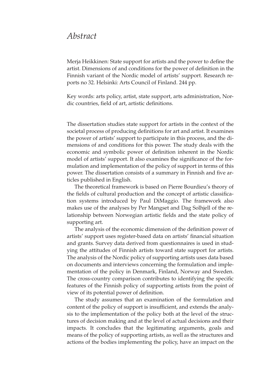## *Abstract*

Merja Heikkinen: State support for artists and the power to define the artist. Dimensions of and conditions for the power of definition in the Finnish variant of the Nordic model of artists' support. Research reports no 32. Helsinki: Arts Council of Finland. 244 pp.

Key words: arts policy, artist, state support, arts administration, Nordic countries, field of art, artistic definitions.

The dissertation studies state support for artists in the context of the societal process of producing definitions for art and artist. It examines the power of artists' support to participate in this process, and the dimensions of and conditions for this power. The study deals with the economic and symbolic power of definition inherent in the Nordic model of artists' support. It also examines the significance of the formulation and implementation of the policy of support in terms of this power. The dissertation consists of a summary in Finnish and five articles published in English.

The theoretical framework is based on Pierre Bourdieu's theory of the fields of cultural production and the concept of artistic classification systems introduced by Paul DiMaggio. The framework also makes use of the analyses by Per Mangset and Dag Solhjell of the relationship between Norwegian artistic fields and the state policy of supporting art.

The analysis of the economic dimension of the definition power of artists' support uses register-based data on artists' financial situation and grants. Survey data derived from questionnaires is used in studying the attitudes of Finnish artists toward state support for artists. The analysis of the Nordic policy of supporting artists uses data based on documents and interviews concerning the formulation and implementation of the policy in Denmark, Finland, Norway and Sweden. The cross-country comparison contributes to identifying the specific features of the Finnish policy of supporting artists from the point of view of its potential power of definition.

The study assumes that an examination of the formulation and content of the policy of support is insufficient, and extends the analysis to the implementation of the policy both at the level of the structures of decision making and at the level of actual decisions and their impacts. It concludes that the legitimating arguments, goals and means of the policy of supporting artists, as well as the structures and actions of the bodies implementing the policy, have an impact on the